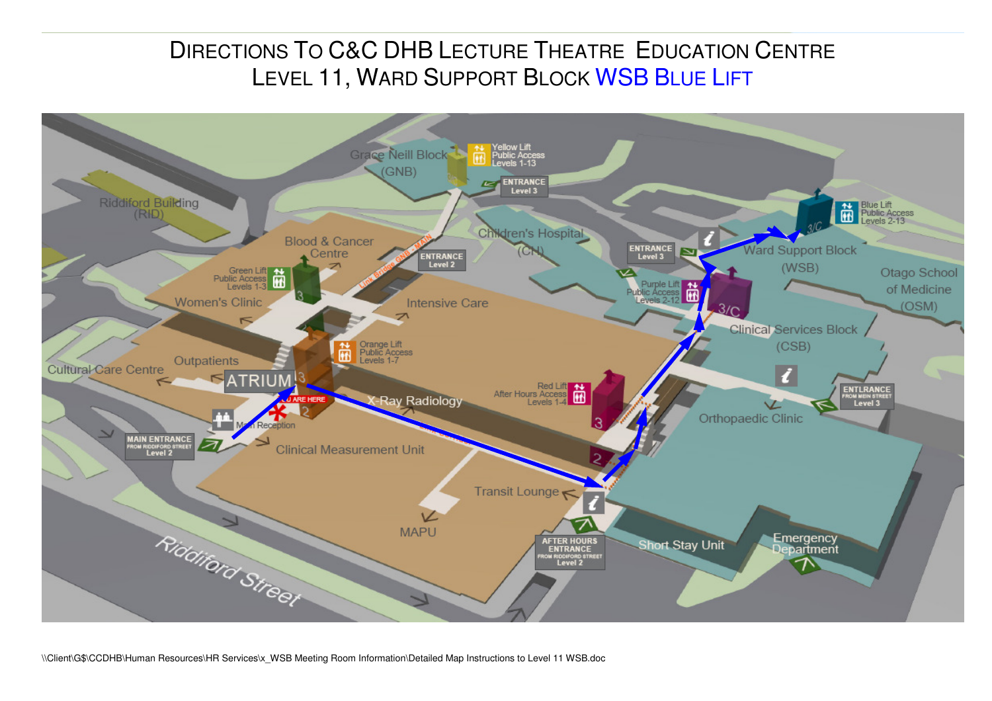## DIRECTIONS TO C&C DHB LECTURE THEATRE EDUCATION CENTRE<br>LEVEL 11 WARR SURRORE BLOCK WAR BLUE LIFE LEVEL 11, WARD SUPPORT BLOCK <mark>WSB B</mark>LUE LIFT



\\Client\G\$\CCDHB\Human Resources\HR Services\x\_WSB Meeting Room Information\Detailed Map Instructions to Level 11 WSB.doc